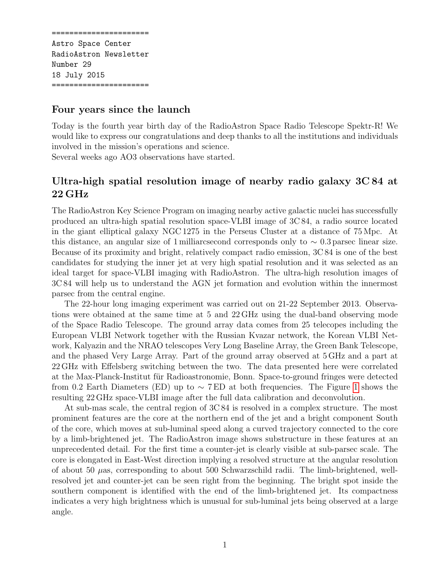====================== Astro Space Center RadioAstron Newsletter Number 29 18 July 2015 ======================

## Four years since the launch

Today is the fourth year birth day of the RadioAstron Space Radio Telescope Spektr-R! We would like to express our congratulations and deep thanks to all the institutions and individuals involved in the mission's operations and science.

Several weeks ago AO3 observations have started.

## Ultra-high spatial resolution image of nearby radio galaxy 3C 84 at 22 GHz

The RadioAstron Key Science Program on imaging nearby active galactic nuclei has successfully produced an ultra-high spatial resolution space-VLBI image of 3C 84, a radio source located in the giant elliptical galaxy NGC 1275 in the Perseus Cluster at a distance of 75 Mpc. At this distance, an angular size of 1 milliarcsecond corresponds only to  $\sim 0.3$  parsec linear size. Because of its proximity and bright, relatively compact radio emission, 3C 84 is one of the best candidates for studying the inner jet at very high spatial resolution and it was selected as an ideal target for space-VLBI imaging with RadioAstron. The ultra-high resolution images of 3C 84 will help us to understand the AGN jet formation and evolution within the innermost parsec from the central engine.

The 22-hour long imaging experiment was carried out on 21-22 September 2013. Observations were obtained at the same time at 5 and 22 GHz using the dual-band observing mode of the Space Radio Telescope. The ground array data comes from 25 telecopes including the European VLBI Network together with the Russian Kvazar network, the Korean VLBI Network, Kalyazin and the NRAO telescopes Very Long Baseline Array, the Green Bank Telescope, and the phased Very Large Array. Part of the ground array observed at 5 GHz and a part at 22 GHz with Effelsberg switching between the two. The data presented here were correlated at the Max-Planck-Institut für Radioastronomie, Bonn. Space-to-ground fringes were detected from 0.2 Earth Diameters (ED) up to  $\sim$  7 ED at both frequencies. The Figure [1](#page-2-0) shows the resulting 22 GHz space-VLBI image after the full data calibration and deconvolution.

At sub-mas scale, the central region of 3C 84 is resolved in a complex structure. The most prominent features are the core at the northern end of the jet and a bright component South of the core, which moves at sub-luminal speed along a curved trajectory connected to the core by a limb-brightened jet. The RadioAstron image shows substructure in these features at an unprecedented detail. For the first time a counter-jet is clearly visible at sub-parsec scale. The core is elongated in East-West direction implying a resolved structure at the angular resolution of about 50  $\mu$ as, corresponding to about 500 Schwarzschild radii. The limb-brightened, wellresolved jet and counter-jet can be seen right from the beginning. The bright spot inside the southern component is identified with the end of the limb-brightened jet. Its compactness indicates a very high brightness which is unusual for sub-luminal jets being observed at a large angle.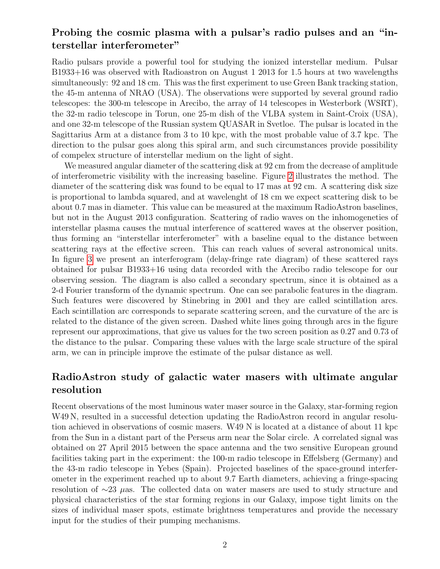## Probing the cosmic plasma with a pulsar's radio pulses and an "interstellar interferometer"

Radio pulsars provide a powerful tool for studying the ionized interstellar medium. Pulsar B1933+16 was observed with Radioastron on August 1 2013 for 1.5 hours at two wavelengths simultaneously: 92 and 18 cm. This was the first experiment to use Green Bank tracking station, the 45-m antenna of NRAO (USA). The observations were supported by several ground radio telescopes: the 300-m telescope in Arecibo, the array of 14 telescopes in Westerbork (WSRT), the 32-m radio telescope in Torun, one 25-m dish of the VLBA system in Saint-Croix (USA), and one 32-m telescope of the Russian system QUASAR in Svetloe. The pulsar is located in the Sagittarius Arm at a distance from 3 to 10 kpc, with the most probable value of 3.7 kpc. The direction to the pulsar goes along this spiral arm, and such circumstances provide possibility of compelex structure of interstellar medium on the light of sight.

We measured angular diameter of the scattering disk at 92 cm from the decrease of amplitude of interferometric visibility with the increasing baseline. Figure [2](#page-3-0) illustrates the method. The diameter of the scattering disk was found to be equal to 17 mas at 92 cm. A scattering disk size is proportional to lambda squared, and at wavelenght of 18 cm we expect scattering disk to be about 0.7 mas in diameter. This value can be measured at the maximum RadioAstron baselines, but not in the August 2013 configuration. Scattering of radio waves on the inhomogeneties of interstellar plasma causes the mutual interference of scattered waves at the observer position, thus forming an "interstellar interferometer" with a baseline equal to the distance between scattering rays at the effective screen. This can reach values of several astronomical units. In figure [3](#page-3-1) we present an interferogram (delay-fringe rate diagram) of these scattered rays obtained for pulsar B1933+16 using data recorded with the Arecibo radio telescope for our observing session. The diagram is also called a secondary spectrum, since it is obtained as a 2-d Fourier transform of the dynamic spectrum. One can see parabolic features in the diagram. Such features were discovered by Stinebring in 2001 and they are called scintillation arcs. Each scintillation arc corresponds to separate scattering screen, and the curvature of the arc is related to the distance of the given screen. Dashed white lines going through arcs in the figure represent our approximations, that give us values for the two screen position as 0.27 and 0.73 of the distance to the pulsar. Comparing these values with the large scale structure of the spiral arm, we can in principle improve the estimate of the pulsar distance as well.

## RadioAstron study of galactic water masers with ultimate angular resolution

Recent observations of the most luminous water maser source in the Galaxy, star-forming region W<sub>49</sub> N, resulted in a successful detection updating the RadioAstron record in angular resolution achieved in observations of cosmic masers. W49 N is located at a distance of about 11 kpc from the Sun in a distant part of the Perseus arm near the Solar circle. A correlated signal was obtained on 27 April 2015 between the space antenna and the two sensitive European ground facilities taking part in the experiment: the 100-m radio telescope in Effelsberg (Germany) and the 43-m radio telescope in Yebes (Spain). Projected baselines of the space-ground interferometer in the experiment reached up to about 9.7 Earth diameters, achieving a fringe-spacing resolution of ∼23 µas. The collected data on water masers are used to study structure and physical characteristics of the star forming regions in our Galaxy, impose tight limits on the sizes of individual maser spots, estimate brightness temperatures and provide the necessary input for the studies of their pumping mechanisms.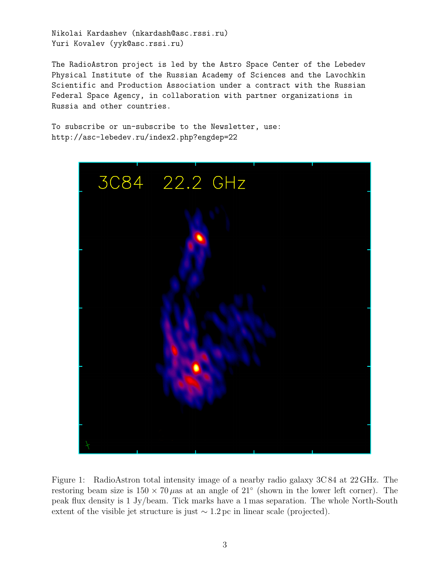Nikolai Kardashev (nkardash@asc.rssi.ru) Yuri Kovalev (yyk@asc.rssi.ru)

The RadioAstron project is led by the Astro Space Center of the Lebedev Physical Institute of the Russian Academy of Sciences and the Lavochkin Scientific and Production Association under a contract with the Russian Federal Space Agency, in collaboration with partner organizations in Russia and other countries.

To subscribe or un-subscribe to the Newsletter, use: http://asc-lebedev.ru/index2.php?engdep=22



<span id="page-2-0"></span>Figure 1: RadioAstron total intensity image of a nearby radio galaxy 3C 84 at 22 GHz. The restoring beam size is  $150 \times 70 \mu$ as at an angle of  $21°$  (shown in the lower left corner). The peak flux density is 1 Jy/beam. Tick marks have a 1 mas separation. The whole North-South extent of the visible jet structure is just  $\sim 1.2 \,\mathrm{pc}$  in linear scale (projected).